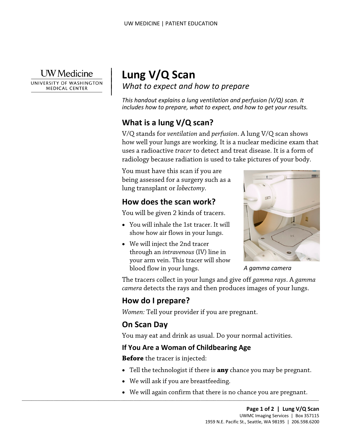**UW** Medicine

|

UNIVERSITY OF WASHINGTON **MEDICAL CENTER** 

# <sup>|</sup>**Lung V/Q Scan** | *What to expect and how to prepare* <sup>|</sup>

*This handout explains a lung ventilation and perfusion (V/Q) scan. It includes how to prepare, what to expect, and how to get your results.* 

# **What is a lung V/Q scan?**

V/Q stands for *ventilation* and *perfusion*. A lung V/Q scan shows how well your lungs are working. It is a nuclear medicine exam that uses a radioactive *tracer* to detect and treat disease. It is a form of radiology because radiation is used to take pictures of your body.

 being assessed for a surgery such as a You must have this scan if you are lung transplant or *lobectomy*.

# **How does the scan work?**

You will be given 2 kinds of tracers.

- You will inhale the 1st tracer. It will show how air flows in your lungs.
- We will inject the 2nd tracer through an *intravenous* (IV) line in your arm vein. This tracer will show blood flow in your lungs.



*A gamma camera* 

 *camera* detects the rays and then produces images of your lungs. The tracers collect in your lungs and give off *gamma rays*. A *gamma* 

# **How do I prepare?**

*Women:* Tell your provider if you are pregnant.

# **On Scan Day**

You may eat and drink as usual. Do your normal activities.

#### **If You Are a Woman of Childbearing Age**

**Before** the tracer is injected:

- Tell the technologist if there is **any** chance you may be pregnant.
- We will ask if you are breastfeeding.

 $\_$  ,  $\_$  ,  $\_$  ,  $\_$  ,  $\_$  ,  $\_$  ,  $\_$  ,  $\_$  ,  $\_$  ,  $\_$  ,  $\_$  ,  $\_$  ,  $\_$  ,  $\_$  ,  $\_$  ,  $\_$  ,  $\_$  ,  $\_$  ,  $\_$  ,  $\_$  ,  $\_$  ,  $\_$  ,  $\_$  ,  $\_$  ,  $\_$  ,  $\_$  ,  $\_$  ,  $\_$  ,  $\_$  ,  $\_$  ,  $\_$  ,  $\_$  ,  $\_$  ,  $\_$  ,  $\_$  ,  $\_$  ,  $\_$  ,

• We will again confirm that there is no chance you are pregnant.